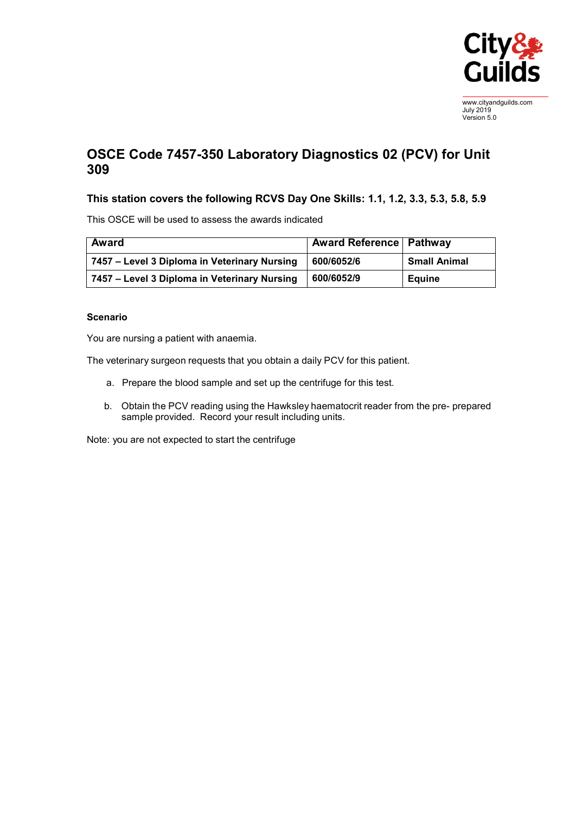

www.cityandguilds.com July 2019 Version 5.0

## **OSCE Code 7457-350 Laboratory Diagnostics 02 (PCV) for Unit 309**

## **This station covers the following RCVS Day One Skills: 1.1, 1.2, 3.3, 5.3, 5.8, 5.9**

This OSCE will be used to assess the awards indicated

| <b>Award</b>                                 | <b>Award Reference   Pathway</b> |                     |
|----------------------------------------------|----------------------------------|---------------------|
| 7457 – Level 3 Diploma in Veterinary Nursing | 600/6052/6                       | <b>Small Animal</b> |
| 7457 – Level 3 Diploma in Veterinary Nursing | 600/6052/9                       | <b>Equine</b>       |

## **Scenario**

You are nursing a patient with anaemia.

The veterinary surgeon requests that you obtain a daily PCV for this patient.

- a. Prepare the blood sample and set up the centrifuge for this test.
- b. Obtain the PCV reading using the Hawksley haematocrit reader from the pre- prepared sample provided. Record your result including units.

Note: you are not expected to start the centrifuge